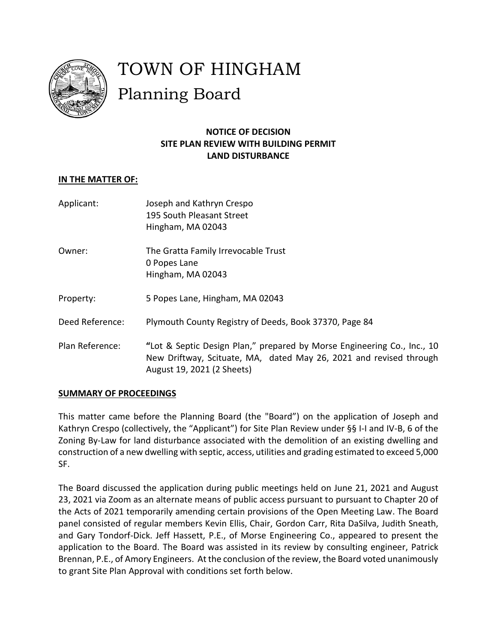

# TOWN OF HINGHAM Planning Board

## **NOTICE OF DECISION SITE PLAN REVIEW WITH BUILDING PERMIT LAND DISTURBANCE**

## **IN THE MATTER OF:**

| Applicant:      | Joseph and Kathryn Crespo<br>195 South Pleasant Street<br>Hingham, MA 02043                                                                                                 |
|-----------------|-----------------------------------------------------------------------------------------------------------------------------------------------------------------------------|
| Owner:          | The Gratta Family Irrevocable Trust<br>0 Popes Lane<br>Hingham, MA 02043                                                                                                    |
| Property:       | 5 Popes Lane, Hingham, MA 02043                                                                                                                                             |
| Deed Reference: | Plymouth County Registry of Deeds, Book 37370, Page 84                                                                                                                      |
| Plan Reference: | "Lot & Septic Design Plan," prepared by Morse Engineering Co., Inc., 10<br>New Driftway, Scituate, MA, dated May 26, 2021 and revised through<br>August 19, 2021 (2 Sheets) |

## **SUMMARY OF PROCEEDINGS**

This matter came before the Planning Board (the "Board") on the application of Joseph and Kathryn Crespo (collectively, the "Applicant") for Site Plan Review under §§ I-I and IV-B, 6 of the Zoning By-Law for land disturbance associated with the demolition of an existing dwelling and construction of a new dwelling with septic, access, utilities and grading estimated to exceed 5,000 SF.

The Board discussed the application during public meetings held on June 21, 2021 and August 23, 2021 via Zoom as an alternate means of public access pursuant to pursuant to Chapter 20 of the Acts of 2021 temporarily amending certain provisions of the Open Meeting Law. The Board panel consisted of regular members Kevin Ellis, Chair, Gordon Carr, Rita DaSilva, Judith Sneath, and Gary Tondorf-Dick. Jeff Hassett, P.E., of Morse Engineering Co., appeared to present the application to the Board. The Board was assisted in its review by consulting engineer, Patrick Brennan, P.E., of Amory Engineers. At the conclusion of the review, the Board voted unanimously to grant Site Plan Approval with conditions set forth below.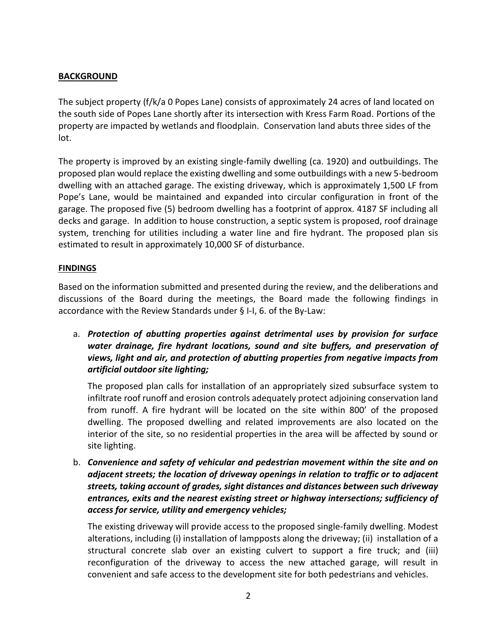## **BACKGROUND**

The subject property (f/k/a 0 Popes Lane) consists of approximately 24 acres of land located on the south side of Popes Lane shortly after its intersection with Kress Farm Road. Portions of the property are impacted by wetlands and floodplain. Conservation land abuts three sides of the lot.

The property is improved by an existing single-family dwelling (ca. 1920) and outbuildings. The proposed plan would replace the existing dwelling and some outbuildings with a new 5-bedroom dwelling with an attached garage. The existing driveway, which is approximately 1,500 LF from Pope's Lane, would be maintained and expanded into circular configuration in front of the garage. The proposed five (5) bedroom dwelling has a footprint of approx. 4187 SF including all decks and garage. In addition to house construction, a septic system is proposed, roof drainage system, trenching for utilities including a water line and fire hydrant. The proposed plan sis estimated to result in approximately 10,000 SF of disturbance.

#### **FINDINGS**

Based on the information submitted and presented during the review, and the deliberations and discussions of the Board during the meetings, the Board made the following findings in accordance with the Review Standards under § I-I, 6. of the By-Law:

a. *Protection of abutting properties against detrimental uses by provision for surface water drainage, fire hydrant locations, sound and site buffers, and preservation of views, light and air, and protection of abutting properties from negative impacts from artificial outdoor site lighting;*

The proposed plan calls for installation of an appropriately sized subsurface system to infiltrate roof runoff and erosion controls adequately protect adjoining conservation land from runoff. A fire hydrant will be located on the site within 800' of the proposed dwelling. The proposed dwelling and related improvements are also located on the interior of the site, so no residential properties in the area will be affected by sound or site lighting.

b. *Convenience and safety of vehicular and pedestrian movement within the site and on adjacent streets; the location of driveway openings in relation to traffic or to adjacent streets, taking account of grades, sight distances and distances between such driveway entrances, exits and the nearest existing street or highway intersections; sufficiency of access for service, utility and emergency vehicles;*

The existing driveway will provide access to the proposed single-family dwelling. Modest alterations, including (i) installation of lampposts along the driveway; (ii) installation of a structural concrete slab over an existing culvert to support a fire truck; and (iii) reconfiguration of the driveway to access the new attached garage, will result in convenient and safe access to the development site for both pedestrians and vehicles.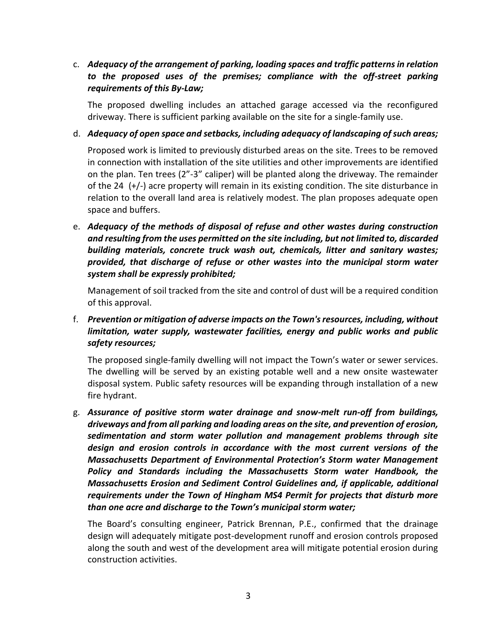## c. *Adequacy of the arrangement of parking, loading spaces and traffic patterns in relation*  to the proposed uses of the premises; compliance with the off-street parking *requirements of this By-Law;*

The proposed dwelling includes an attached garage accessed via the reconfigured driveway. There is sufficient parking available on the site for a single-family use.

#### d. *Adequacy of open space and setbacks, including adequacy of landscaping of such areas;*

Proposed work is limited to previously disturbed areas on the site. Trees to be removed in connection with installation of the site utilities and other improvements are identified on the plan. Ten trees (2"-3" caliper) will be planted along the driveway. The remainder of the 24 (+/-) acre property will remain in its existing condition. The site disturbance in relation to the overall land area is relatively modest. The plan proposes adequate open space and buffers.

e. *Adequacy of the methods of disposal of refuse and other wastes during construction and resulting from the uses permitted on the site including, but not limited to, discarded building materials, concrete truck wash out, chemicals, litter and sanitary wastes; provided, that discharge of refuse or other wastes into the municipal storm water system shall be expressly prohibited;*

Management of soil tracked from the site and control of dust will be a required condition of this approval.

## f. *Prevention or mitigation of adverse impacts on the Town's resources, including, without limitation, water supply, wastewater facilities, energy and public works and public safety resources;*

The proposed single-family dwelling will not impact the Town's water or sewer services. The dwelling will be served by an existing potable well and a new onsite wastewater disposal system. Public safety resources will be expanding through installation of a new fire hydrant.

g. *Assurance of positive storm water drainage and snow-melt run-off from buildings, driveways and from all parking and loading areas on the site, and prevention of erosion, sedimentation and storm water pollution and management problems through site design and erosion controls in accordance with the most current versions of the Massachusetts Department of Environmental Protection's Storm water Management Policy and Standards including the Massachusetts Storm water Handbook, the Massachusetts Erosion and Sediment Control Guidelines and, if applicable, additional requirements under the Town of Hingham MS4 Permit for projects that disturb more than one acre and discharge to the Town's municipal storm water;*

The Board's consulting engineer, Patrick Brennan, P.E., confirmed that the drainage design will adequately mitigate post-development runoff and erosion controls proposed along the south and west of the development area will mitigate potential erosion during construction activities.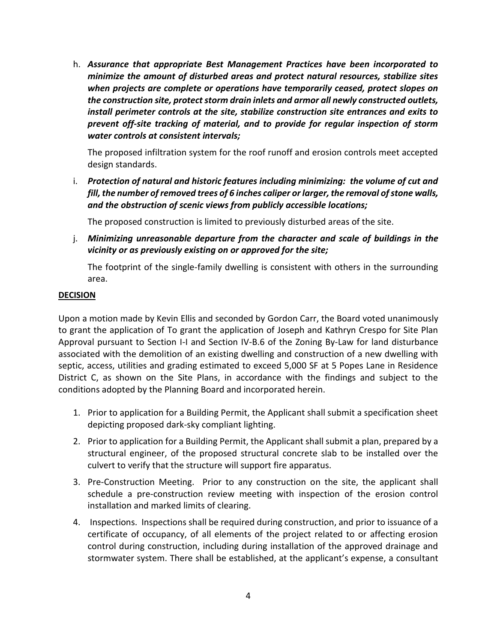h. *Assurance that appropriate Best Management Practices have been incorporated to minimize the amount of disturbed areas and protect natural resources, stabilize sites when projects are complete or operations have temporarily ceased, protect slopes on the construction site, protect storm drain inlets and armor all newly constructed outlets, install perimeter controls at the site, stabilize construction site entrances and exits to prevent off-site tracking of material, and to provide for regular inspection of storm water controls at consistent intervals;*

The proposed infiltration system for the roof runoff and erosion controls meet accepted design standards.

i. *Protection of natural and historic features including minimizing: the volume of cut and fill, the number of removed trees of 6 inches caliper or larger, the removal of stone walls, and the obstruction of scenic views from publicly accessible locations;*

The proposed construction is limited to previously disturbed areas of the site.

j. *Minimizing unreasonable departure from the character and scale of buildings in the vicinity or as previously existing on or approved for the site;*

The footprint of the single-family dwelling is consistent with others in the surrounding area.

#### **DECISION**

Upon a motion made by Kevin Ellis and seconded by Gordon Carr, the Board voted unanimously to grant the application of To grant the application of Joseph and Kathryn Crespo for Site Plan Approval pursuant to Section I-I and Section IV-B.6 of the Zoning By-Law for land disturbance associated with the demolition of an existing dwelling and construction of a new dwelling with septic, access, utilities and grading estimated to exceed 5,000 SF at 5 Popes Lane in Residence District C, as shown on the Site Plans, in accordance with the findings and subject to the conditions adopted by the Planning Board and incorporated herein.

- 1. Prior to application for a Building Permit, the Applicant shall submit a specification sheet depicting proposed dark-sky compliant lighting.
- 2. Prior to application for a Building Permit, the Applicant shall submit a plan, prepared by a structural engineer, of the proposed structural concrete slab to be installed over the culvert to verify that the structure will support fire apparatus.
- 3. Pre-Construction Meeting. Prior to any construction on the site, the applicant shall schedule a pre-construction review meeting with inspection of the erosion control installation and marked limits of clearing.
- 4. Inspections. Inspections shall be required during construction, and prior to issuance of a certificate of occupancy, of all elements of the project related to or affecting erosion control during construction, including during installation of the approved drainage and stormwater system. There shall be established, at the applicant's expense, a consultant